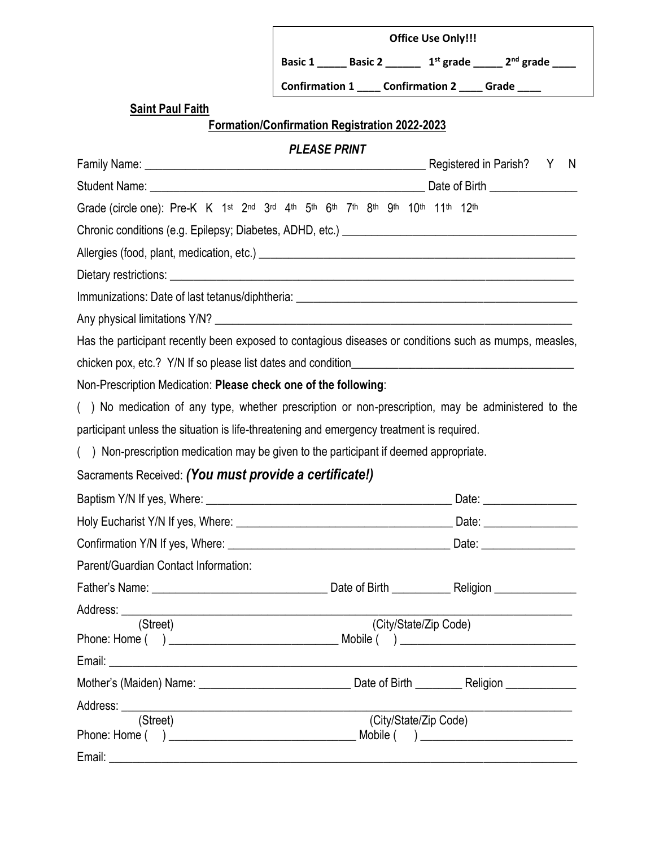| <b>Office Use Only!!!</b> |                       |             |                       |  |
|---------------------------|-----------------------|-------------|-----------------------|--|
| <b>Basic 1</b>            | <b>Basic 2</b>        | $1st$ grade | 2 <sup>nd</sup> grade |  |
| <b>Confirmation 1</b>     | <b>Confirmation 2</b> |             | Grade                 |  |

# **Saint Paul Faith**

**Formation/Confirmation Registration 2022-2023**

# *PLEASE PRINT*

|                                                                                                        |                       | N                                                                                                                   |
|--------------------------------------------------------------------------------------------------------|-----------------------|---------------------------------------------------------------------------------------------------------------------|
|                                                                                                        |                       |                                                                                                                     |
| Grade (circle one): Pre-K K 1st 2nd 3rd 4th 5th 6th 7th 8th 9th 10th 11th 12th                         |                       |                                                                                                                     |
|                                                                                                        |                       |                                                                                                                     |
|                                                                                                        |                       |                                                                                                                     |
|                                                                                                        |                       |                                                                                                                     |
|                                                                                                        |                       |                                                                                                                     |
|                                                                                                        |                       |                                                                                                                     |
| Has the participant recently been exposed to contagious diseases or conditions such as mumps, measles, |                       |                                                                                                                     |
|                                                                                                        |                       |                                                                                                                     |
| Non-Prescription Medication: Please check one of the following:                                        |                       |                                                                                                                     |
| () No medication of any type, whether prescription or non-prescription, may be administered to the     |                       |                                                                                                                     |
| participant unless the situation is life-threatening and emergency treatment is required.              |                       |                                                                                                                     |
| () Non-prescription medication may be given to the participant if deemed appropriate.                  |                       |                                                                                                                     |
| Sacraments Received: (You must provide a certificate!)                                                 |                       |                                                                                                                     |
|                                                                                                        |                       |                                                                                                                     |
|                                                                                                        |                       |                                                                                                                     |
|                                                                                                        |                       |                                                                                                                     |
| Parent/Guardian Contact Information:                                                                   |                       |                                                                                                                     |
|                                                                                                        |                       |                                                                                                                     |
| Address: _______                                                                                       |                       |                                                                                                                     |
| (Street)                                                                                               |                       | (City/State/Zip Code)                                                                                               |
|                                                                                                        |                       | <u> 1989 - Johann John Stein, mars ar breithinn ar breithinn ar breithinn ar breithinn ar breithinn ar breithin</u> |
|                                                                                                        |                       |                                                                                                                     |
|                                                                                                        |                       |                                                                                                                     |
| Address:<br>(Street)                                                                                   | (City/State/Zip Code) |                                                                                                                     |
|                                                                                                        |                       |                                                                                                                     |
| Email:                                                                                                 |                       |                                                                                                                     |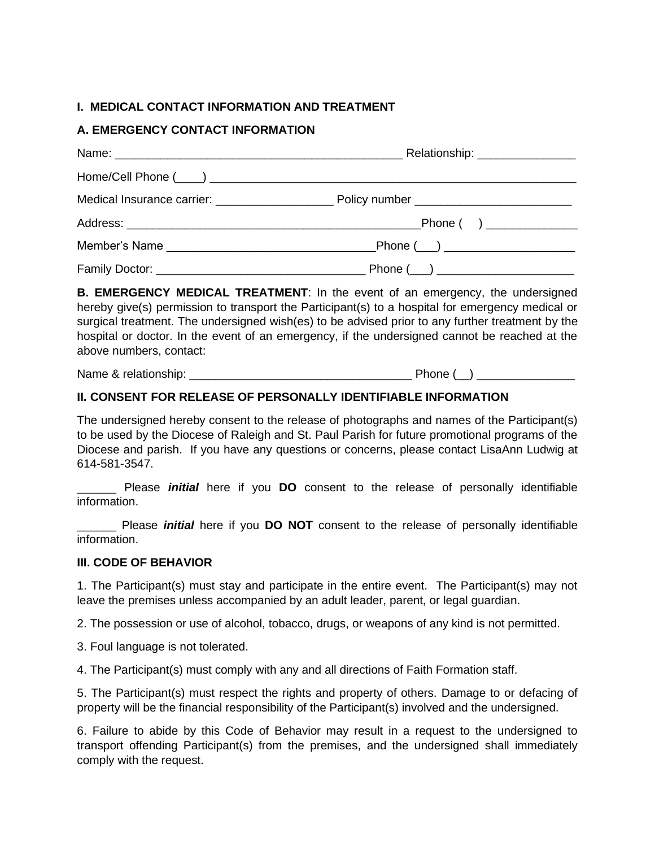### **I. MEDICAL CONTACT INFORMATION AND TREATMENT**

# **A. EMERGENCY CONTACT INFORMATION**

**B. EMERGENCY MEDICAL TREATMENT**: In the event of an emergency, the undersigned hereby give(s) permission to transport the Participant(s) to a hospital for emergency medical or surgical treatment. The undersigned wish(es) to be advised prior to any further treatment by the hospital or doctor. In the event of an emergency, if the undersigned cannot be reached at the above numbers, contact:

Name & relationship:  $\blacksquare$ 

## **II. CONSENT FOR RELEASE OF PERSONALLY IDENTIFIABLE INFORMATION**

The undersigned hereby consent to the release of photographs and names of the Participant(s) to be used by the Diocese of Raleigh and St. Paul Parish for future promotional programs of the Diocese and parish. If you have any questions or concerns, please contact LisaAnn Ludwig at 614-581-3547.

\_\_\_\_\_\_ Please *initial* here if you **DO** consent to the release of personally identifiable information.

Please *initial* here if you **DO NOT** consent to the release of personally identifiable information.

#### **III. CODE OF BEHAVIOR**

1. The Participant(s) must stay and participate in the entire event. The Participant(s) may not leave the premises unless accompanied by an adult leader, parent, or legal guardian.

2. The possession or use of alcohol, tobacco, drugs, or weapons of any kind is not permitted.

3. Foul language is not tolerated.

4. The Participant(s) must comply with any and all directions of Faith Formation staff.

5. The Participant(s) must respect the rights and property of others. Damage to or defacing of property will be the financial responsibility of the Participant(s) involved and the undersigned.

6. Failure to abide by this Code of Behavior may result in a request to the undersigned to transport offending Participant(s) from the premises, and the undersigned shall immediately comply with the request.